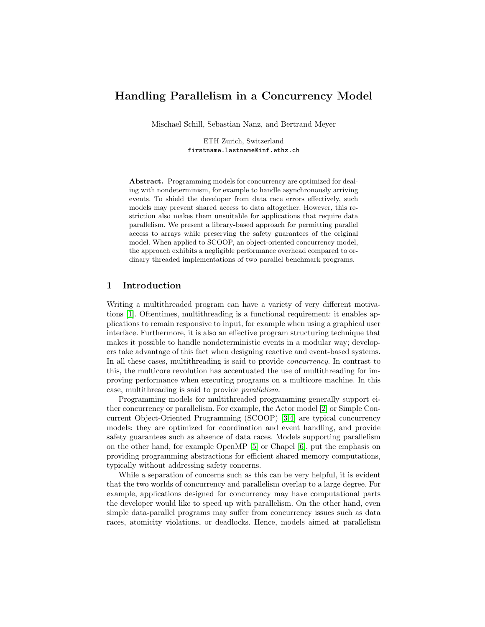# <span id="page-0-0"></span>Handling Parallelism in a Concurrency Model

Mischael Schill, Sebastian Nanz, and Bertrand Meyer

ETH Zurich, Switzerland firstname.lastname@inf.ethz.ch

Abstract. Programming models for concurrency are optimized for dealing with nondeterminism, for example to handle asynchronously arriving events. To shield the developer from data race errors effectively, such models may prevent shared access to data altogether. However, this restriction also makes them unsuitable for applications that require data parallelism. We present a library-based approach for permitting parallel access to arrays while preserving the safety guarantees of the original model. When applied to SCOOP, an object-oriented concurrency model, the approach exhibits a negligible performance overhead compared to ordinary threaded implementations of two parallel benchmark programs.

### 1 Introduction

Writing a multithreaded program can have a variety of very different motivations [\[1\]](#page-11-0). Oftentimes, multithreading is a functional requirement: it enables applications to remain responsive to input, for example when using a graphical user interface. Furthermore, it is also an effective program structuring technique that makes it possible to handle nondeterministic events in a modular way; developers take advantage of this fact when designing reactive and event-based systems. In all these cases, multithreading is said to provide concurrency. In contrast to this, the multicore revolution has accentuated the use of multithreading for improving performance when executing programs on a multicore machine. In this case, multithreading is said to provide parallelism.

Programming models for multithreaded programming generally support either concurrency or parallelism. For example, the Actor model [\[2\]](#page-11-1) or Simple Concurrent Object-Oriented Programming (SCOOP) [\[3,](#page-11-2)[4\]](#page-11-3) are typical concurrency models: they are optimized for coordination and event handling, and provide safety guarantees such as absence of data races. Models supporting parallelism on the other hand, for example OpenMP [\[5\]](#page-11-4) or Chapel [\[6\]](#page-11-5), put the emphasis on providing programming abstractions for efficient shared memory computations, typically without addressing safety concerns.

While a separation of concerns such as this can be very helpful, it is evident that the two worlds of concurrency and parallelism overlap to a large degree. For example, applications designed for concurrency may have computational parts the developer would like to speed up with parallelism. On the other hand, even simple data-parallel programs may suffer from concurrency issues such as data races, atomicity violations, or deadlocks. Hence, models aimed at parallelism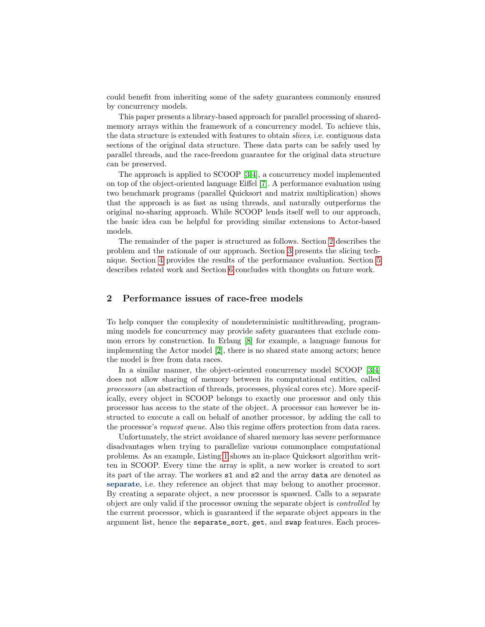could benefit from inheriting some of the safety guarantees commonly ensured by concurrency models.

This paper presents a library-based approach for parallel processing of sharedmemory arrays within the framework of a concurrency model. To achieve this, the data structure is extended with features to obtain slices, i.e. contiguous data sections of the original data structure. These data parts can be safely used by parallel threads, and the race-freedom guarantee for the original data structure can be preserved.

The approach is applied to SCOOP [\[3](#page-11-2)[,4\]](#page-11-3), a concurrency model implemented on top of the object-oriented language Eiffel [\[7\]](#page-11-6). A performance evaluation using two benchmark programs (parallel Quicksort and matrix multiplication) shows that the approach is as fast as using threads, and naturally outperforms the original no-sharing approach. While SCOOP lends itself well to our approach, the basic idea can be helpful for providing similar extensions to Actor-based models.

The remainder of the paper is structured as follows. Section [2](#page-1-0) describes the problem and the rationale of our approach. Section [3](#page-3-0) presents the slicing technique. Section [4](#page-7-0) provides the results of the performance evaluation. Section [5](#page-9-0) describes related work and Section [6](#page-10-0) concludes with thoughts on future work.

### <span id="page-1-0"></span>2 Performance issues of race-free models

To help conquer the complexity of nondeterministic multithreading, programming models for concurrency may provide safety guarantees that exclude common errors by construction. In Erlang [\[8\]](#page-11-7) for example, a language famous for implementing the Actor model [\[2\]](#page-11-1), there is no shared state among actors; hence the model is free from data races.

In a similar manner, the object-oriented concurrency model SCOOP [\[3,](#page-11-2)[4\]](#page-11-3) does not allow sharing of memory between its computational entities, called processors (an abstraction of threads, processes, physical cores etc). More specifically, every object in SCOOP belongs to exactly one processor and only this processor has access to the state of the object. A processor can however be instructed to execute a call on behalf of another processor, by adding the call to the processor's request queue. Also this regime offers protection from data races.

Unfortunately, the strict avoidance of shared memory has severe performance disadvantages when trying to parallelize various commonplace computational problems. As an example, Listing [1](#page-0-0) shows an in-place Quicksort algorithm written in SCOOP. Every time the array is split, a new worker is created to sort its part of the array. The workers s1 and s2 and the array data are denoted as separate, i.e. they reference an object that may belong to another processor. By creating a separate object, a new processor is spawned. Calls to a separate object are only valid if the processor owning the separate object is controlled by the current processor, which is guaranteed if the separate object appears in the argument list, hence the separate\_sort, get, and swap features. Each proces-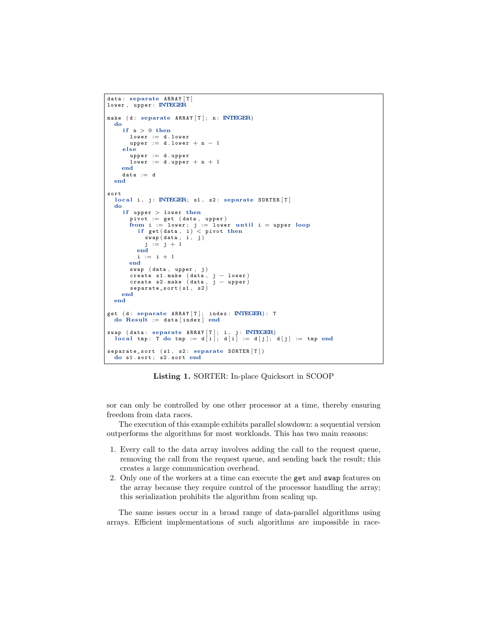```
data: separate ARRAY [T]
lower, upper: INTEGER
make (d: separate AR RAY[T]; n: INTEGR)do
     if n > 0 then
       lower := d. lowerupper := d.lower + n - 1e l s e
        upper := d. upperlower := d. upper + n + 1end
     data := dend
s o r t
  local i, j: INTEGR; s1, s2: separate SORTER[T]do
     if upper > lower then
        pivot := get (data, upper)<br>from i := lower; j := lower until i = upper loop
           if get(data, i) < pivot then<br>swap(data, i, j)
             j := j + 1end
           i := i + 1end
        swap (data, upper, j)
        create s1.make (data, j - lower)<br>create s2.make (data, j - upper)<br>separate_sort(s1, s2)
     end
  end
get (d: separate ARRAY[T]; index: INTEGR): Tdo Result := data [index] end
swap (data: separate ARRAY[T]; i, j: INTEGER)<br>local tmp: T do tmp := d[i]; d[i] := d[j]; d[j] := tmp end
separate\_sort (s1, s2: separate SORTER[T])\overline{d} s \overline{c} s \overline{c} and \overline{c} is \overline{c} and \overline{c}
```
Listing 1. SORTER: In-place Quicksort in SCOOP

sor can only be controlled by one other processor at a time, thereby ensuring freedom from data races.

The execution of this example exhibits parallel slowdown: a sequential version outperforms the algorithms for most workloads. This has two main reasons:

- 1. Every call to the data array involves adding the call to the request queue, removing the call from the request queue, and sending back the result; this creates a large communication overhead.
- 2. Only one of the workers at a time can execute the get and swap features on the array because they require control of the processor handling the array; this serialization prohibits the algorithm from scaling up.

The same issues occur in a broad range of data-parallel algorithms using arrays. Efficient implementations of such algorithms are impossible in race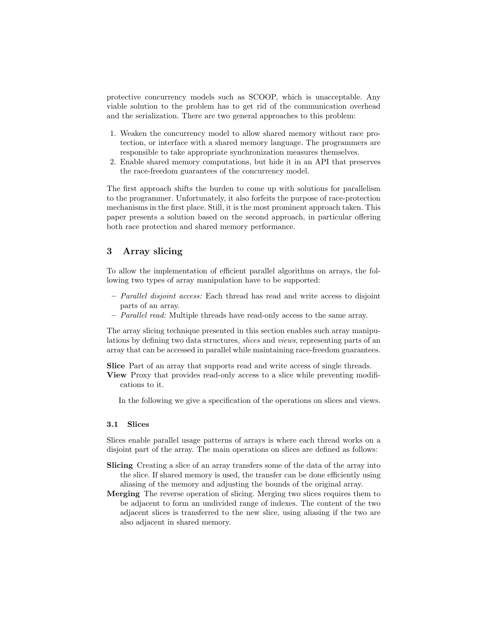protective concurrency models such as SCOOP, which is unacceptable. Any viable solution to the problem has to get rid of the communication overhead and the serialization. There are two general approaches to this problem:

- 1. Weaken the concurrency model to allow shared memory without race protection, or interface with a shared memory language. The programmers are responsible to take appropriate synchronization measures themselves.
- 2. Enable shared memory computations, but hide it in an API that preserves the race-freedom guarantees of the concurrency model.

The first approach shifts the burden to come up with solutions for parallelism to the programmer. Unfortunately, it also forfeits the purpose of race-protection mechanisms in the first place. Still, it is the most prominent approach taken. This paper presents a solution based on the second approach, in particular offering both race protection and shared memory performance.

# <span id="page-3-0"></span>3 Array slicing

To allow the implementation of efficient parallel algorithms on arrays, the following two types of array manipulation have to be supported:

- Parallel disjoint access: Each thread has read and write access to disjoint parts of an array.
- Parallel read: Multiple threads have read-only access to the same array.

The array slicing technique presented in this section enables such array manipulations by defining two data structures, slices and views, representing parts of an array that can be accessed in parallel while maintaining race-freedom guarantees.

Slice Part of an array that supports read and write access of single threads.

View Proxy that provides read-only access to a slice while preventing modifications to it.

In the following we give a specification of the operations on slices and views.

#### <span id="page-3-1"></span>3.1 Slices

Slices enable parallel usage patterns of arrays is where each thread works on a disjoint part of the array. The main operations on slices are defined as follows:

- Slicing Creating a slice of an array transfers some of the data of the array into the slice. If shared memory is used, the transfer can be done efficiently using aliasing of the memory and adjusting the bounds of the original array.
- Merging The reverse operation of slicing. Merging two slices requires them to be adjacent to form an undivided range of indexes. The content of the two adjacent slices is transferred to the new slice, using aliasing if the two are also adjacent in shared memory.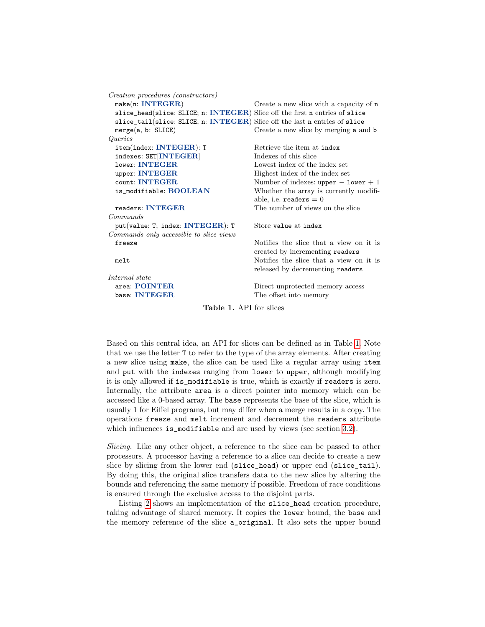```
Creation procedures (constructors)
 make(n: INTEGER) Create a new slice with a capacity of n
 slice_head(slice: SLICE; n: INTEGER) Slice off the first n entries of slice
 slice_tail(slice: SLICE; n: INTEGER) Slice off the last n entries of slice
 merge(a, b: SLICE) Create a new slice by merging a and b
Queries
 item(index: INTEGER): T Retrieve the item at index
 indexes: SET[INTEGER] Indexes of this slice
 lower: INTEGER Lowest index of the index set
 upper: INTEGER Highest index of the index set
 count: INTEGER Number of indexes: upper − lower + 1
 is_modifiable: BOOLEAN Whether the array is currently modifi-
                                 able, i.e. \texttt{readers} = 0readers: INTEGER The number of views on the slice
Commands
 put(value: T; index: INTEGER): T Store value at index
Commands only accessible to slice views
 freeze Notifies the slice that a view on it is
                                 created by incrementing readers
 melt Notifies the slice that a view on it is
                                 released by decrementing readers
Internal state
 area: POINTER Direct unprotected memory access
 base: INTEGER The offset into memory
                     Table 1. API for slices
```
Based on this central idea, an API for slices can be defined as in Table [1.](#page-4-0) Note that we use the letter T to refer to the type of the array elements. After creating a new slice using make, the slice can be used like a regular array using item and put with the indexes ranging from lower to upper, although modifying it is only allowed if is\_modifiable is true, which is exactly if readers is zero. Internally, the attribute area is a direct pointer into memory which can be accessed like a 0-based array. The base represents the base of the slice, which is usually 1 for Eiffel programs, but may differ when a merge results in a copy. The operations freeze and melt increment and decrement the readers attribute which influences is\_modifiable and are used by views (see section [3.2\)](#page-5-0).

Slicing. Like any other object, a reference to the slice can be passed to other processors. A processor having a reference to a slice can decide to create a new slice by slicing from the lower end (slice\_head) or upper end (slice\_tail). By doing this, the original slice transfers data to the new slice by altering the bounds and referencing the same memory if possible. Freedom of race conditions is ensured through the exclusive access to the disjoint parts.

Listing [2](#page-0-0) shows an implementation of the slice\_head creation procedure, taking advantage of shared memory. It copies the lower bound, the base and the memory reference of the slice a\_original. It also sets the upper bound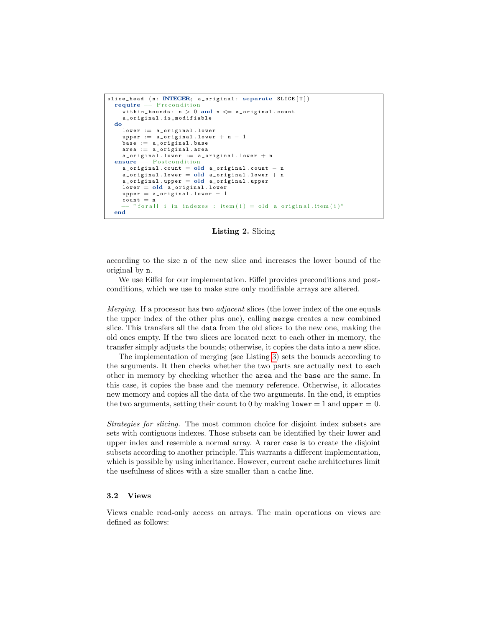```
\texttt{slice\_head} (n: INTEGER; a_original: separate SLICE [T])

    within_bounds: n > 0 and n \le a_original.count
    a_original.is_modifiable
  do
    lower := a\_original. lower
    upper := a\_original. lower + n - 1
    base := a\_original. base
    area := a_coriginal.area
    a_original.lower := a_original.lower + n
  ensure -- Postcondition
    a original . count = old a original . count - n
    a_original.lower = old a_original.lower + n
    a_original.upper = old a_original.upper
    lower = old a\_original. lower
    upper = a\_original. lower - 1
    \texttt{count} = \texttt{n}for all i in indexes : item (i) = old a_original.item (i)"
  end
```
Listing 2. Slicing

according to the size n of the new slice and increases the lower bound of the original by n.

We use Eiffel for our implementation. Eiffel provides preconditions and postconditions, which we use to make sure only modifiable arrays are altered.

Merging. If a processor has two adjacent slices (the lower index of the one equals the upper index of the other plus one), calling merge creates a new combined slice. This transfers all the data from the old slices to the new one, making the old ones empty. If the two slices are located next to each other in memory, the transfer simply adjusts the bounds; otherwise, it copies the data into a new slice.

The implementation of merging (see Listing [3\)](#page-0-0) sets the bounds according to the arguments. It then checks whether the two parts are actually next to each other in memory by checking whether the area and the base are the same. In this case, it copies the base and the memory reference. Otherwise, it allocates new memory and copies all the data of the two arguments. In the end, it empties the two arguments, setting their count to 0 by making  $lower = 1$  and upper = 0.

Strategies for slicing. The most common choice for disjoint index subsets are sets with contiguous indexes. Those subsets can be identified by their lower and upper index and resemble a normal array. A rarer case is to create the disjoint subsets according to another principle. This warrants a different implementation, which is possible by using inheritance. However, current cache architectures limit the usefulness of slices with a size smaller than a cache line.

### <span id="page-5-0"></span>3.2 Views

Views enable read-only access on arrays. The main operations on views are defined as follows: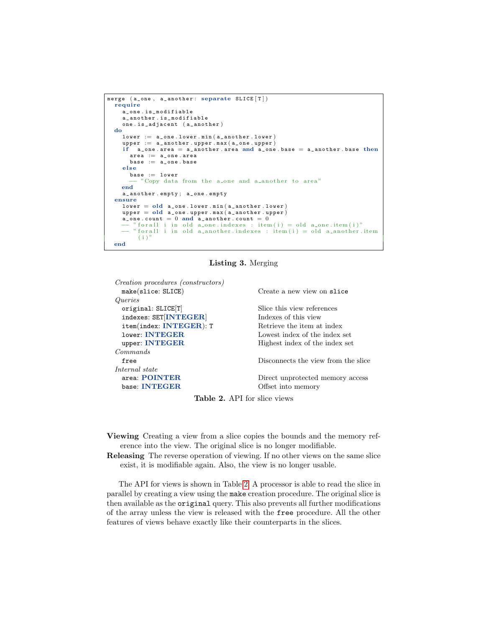```
merge (a_one, a_another: separate SLICE[T])require
    a_one.is_modifiable
    a_another.is_modifiable
    one . is adiacent (a another)
  do
    lower := a_{\text{one}}.lower.min(a_{\text{another}}.lower)upper := a\_another.\nupper.max(a\_one.\nupper)if a one . area = a another . area and a one . base = a another . base then
      area := a\_one . areabase := a\_one \cdot baseelse
      base := lower"Copy data from the a_one and a_another to area"
    end
    a_another.empty; a_one.empty
  ensure
    lower = old a_one.lower.min(a_another.lower)upper = old a_one.upper.max(a_another.upper)a one . count = 0 and a another . count = 0
        {\text{``for all i in old a-one.index : item(i) = old a-one.time(i)}" for all i in old a another . indexes : item (i) = old a another . item
        (i)end
```
Listing 3. Merging

```
Creation procedures (constructors)
 make(slice: SLICE) Create a new view on slice
Queries
 original: SLICE[T] Slice this view references
 indexes: SET[INTEGER] Indexes of this view
 item(index: INTEGER): T<br>
1991 100 Retrieve the item at index<br>
Lowest index of the index
                                 Lowest index of the index set
 upper: INTEGER Highest index of the index set
Commands
 free Disconnects the view from the slice
Internal state
 area: POINTER Direct unprotected memory access
 base: INTEGER Offset into memory
```
Table 2. API for slice views

- Viewing Creating a view from a slice copies the bounds and the memory reference into the view. The original slice is no longer modifiable.
- Releasing The reverse operation of viewing. If no other views on the same slice exist, it is modifiable again. Also, the view is no longer usable.

The API for views is shown in Table [2.](#page-6-0) A processor is able to read the slice in parallel by creating a view using the make creation procedure. The original slice is then available as the original query. This also prevents all further modifications of the array unless the view is released with the free procedure. All the other features of views behave exactly like their counterparts in the slices.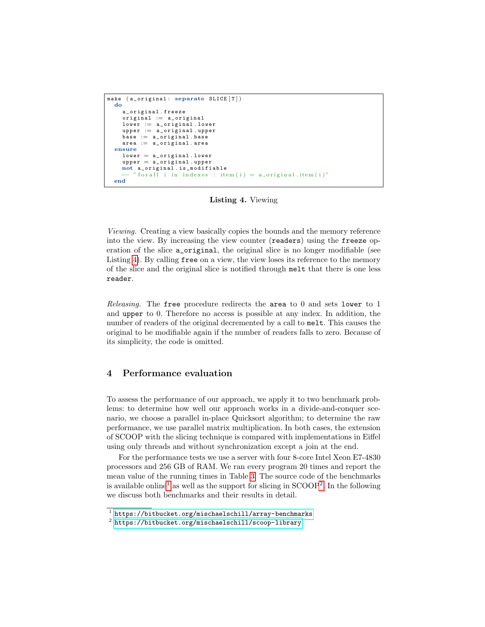```
\begin{minipage}{.4\linewidth} \texttt{make} & \texttt{(\texttt{a\_original}:} \texttt{separate} & \texttt{SLICE}\texttt{[T]}) \end{minipage}do
     a original.freeze
     original := a original
     lower := a\_original. lower
     upper := a\_original. upper
     base := a_c or iginal . base
     area := a\_original . areaensure
     lower = a\_original. lower
     upper = a\_original. upper
     not a\_original.is\_modifiedfor all i in indexes : item (i) = a_original.item (i)"
  end
```
Listing 4. Viewing

Viewing. Creating a view basically copies the bounds and the memory reference into the view. By increasing the view counter (readers) using the freeze operation of the slice a\_original, the original slice is no longer modifiable (see Listing [4\)](#page-0-0). By calling free on a view, the view loses its reference to the memory of the slice and the original slice is notified through melt that there is one less reader.

Releasing. The free procedure redirects the area to 0 and sets lower to 1 and upper to 0. Therefore no access is possible at any index. In addition, the number of readers of the original decremented by a call to melt. This causes the original to be modifiable again if the number of readers falls to zero. Because of its simplicity, the code is omitted.

# <span id="page-7-0"></span>4 Performance evaluation

To assess the performance of our approach, we apply it to two benchmark problems: to determine how well our approach works in a divide-and-conquer scenario, we choose a parallel in-place Quicksort algorithm; to determine the raw performance, we use parallel matrix multiplication. In both cases, the extension of SCOOP with the slicing technique is compared with implementations in Eiffel using only threads and without synchronization except a join at the end.

For the performance tests we use a server with four 8-core Intel Xeon E7-4830 processors and 256 GB of RAM. We ran every program 20 times and report the mean value of the running times in Table [3.](#page-8-0) The source code of the benchmarks is available online<sup>[1](#page-7-1)</sup> as well as the support for slicing in  $SCOOP<sup>2</sup>$  $SCOOP<sup>2</sup>$  $SCOOP<sup>2</sup>$ . In the following we discuss both benchmarks and their results in detail.

<span id="page-7-1"></span><sup>1</sup> <https://bitbucket.org/mischaelschill/array-benchmarks>

<span id="page-7-2"></span> $^{\rm 2}$  <https://bitbucket.org/mischaelschill/scoop-library>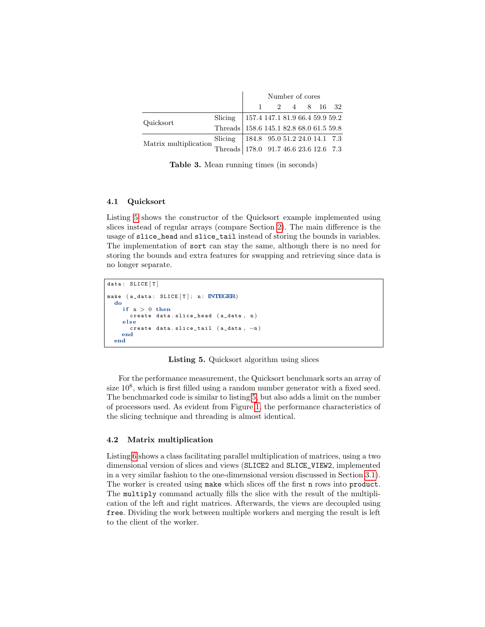<span id="page-8-0"></span>

|                       |                                           | Number of cores |  |  |             |  |  |
|-----------------------|-------------------------------------------|-----------------|--|--|-------------|--|--|
|                       |                                           |                 |  |  | 2 4 8 16 32 |  |  |
| Quicksort             | Slicing   157.4 147.1 81.9 66.4 59.9 59.2 |                 |  |  |             |  |  |
|                       | Threads 158.6 145.1 82.8 68.0 61.5 59.8   |                 |  |  |             |  |  |
| Matrix multiplication | Slicing   184.8 95.0 51.2 24.0 14.1 7.3   |                 |  |  |             |  |  |
|                       | Threads 178.0 91.7 46.6 23.6 12.6 7.3     |                 |  |  |             |  |  |

Table 3. Mean running times (in seconds)

#### 4.1 Quicksort

Listing [5](#page-0-0) shows the constructor of the Quicksort example implemented using slices instead of regular arrays (compare Section [2\)](#page-1-0). The main difference is the usage of slice\_head and slice\_tail instead of storing the bounds in variables. The implementation of sort can stay the same, although there is no need for storing the bounds and extra features for swapping and retrieving since data is no longer separate.

```
data: SLICE [T]make (a_data: SLICE[T]; n: INTEGR)do
    if n > 0 thencreate data.slice_head (a_data, n)
    else
      create data.slice\_tail (a_data, -n)end
  end
```
Listing 5. Quicksort algorithm using slices

For the performance measurement, the Quicksort benchmark sorts an array of size  $10^8$ , which is first filled using a random number generator with a fixed seed. The benchmarked code is similar to listing [5,](#page-0-0) but also adds a limit on the number of processors used. As evident from Figure [1,](#page-9-1) the performance characteristics of the slicing technique and threading is almost identical.

#### 4.2 Matrix multiplication

Listing [6](#page-0-0) shows a class facilitating parallel multiplication of matrices, using a two dimensional version of slices and views (SLICE2 and SLICE\_VIEW2, implemented in a very similar fashion to the one-dimensional version discussed in Section [3.1\)](#page-3-1). The worker is created using make which slices off the first n rows into product. The multiply command actually fills the slice with the result of the multiplication of the left and right matrices. Afterwards, the views are decoupled using free. Dividing the work between multiple workers and merging the result is left to the client of the worker.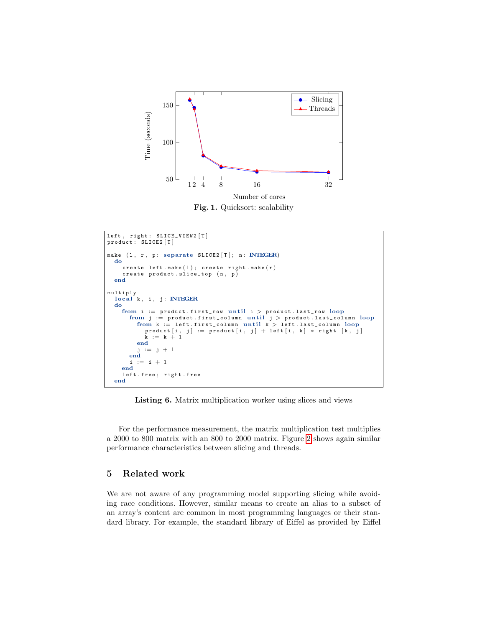<span id="page-9-1"></span>

```
left, right: SLICE_VIEW2 [T]
prodact : SLICE2[T]make (1, r, p: separate SLICE2[T]; n: INTEGR)do
     \mathtt{create} left.make(1); create right.make(r)create product.slice_top (n, p)end
multiply<br>local k,
             i, j : INTEGRdo
     from i := product.first_row until i > product.last_row loop
        from j := product.first_column until j > product.last_column loop<br>from k := left.first_column until k > left.last_column loop
             \texttt{product}[i, j] := \texttt{product}[i, j] + \texttt{left}[i, k] * \texttt{right}[k, j]<br>k := k + 1end
        j := j + 1<br>end
       i := i + 1end
     left.free; right.free
  end
```
Listing 6. Matrix multiplication worker using slices and views

For the performance measurement, the matrix multiplication test multiplies a 2000 to 800 matrix with an 800 to 2000 matrix. Figure [2](#page-10-1) shows again similar performance characteristics between slicing and threads.

### <span id="page-9-0"></span>5 Related work

We are not aware of any programming model supporting slicing while avoiding race conditions. However, similar means to create an alias to a subset of an array's content are common in most programming languages or their standard library. For example, the standard library of Eiffel as provided by Eiffel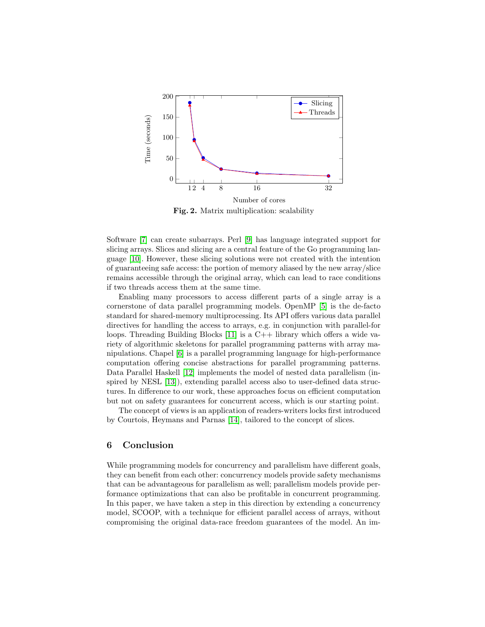<span id="page-10-1"></span>

Fig. 2. Matrix multiplication: scalability

Software [\[7\]](#page-11-6) can create subarrays. Perl [\[9\]](#page-11-8) has language integrated support for slicing arrays. Slices and slicing are a central feature of the Go programming language [\[10\]](#page-11-9). However, these slicing solutions were not created with the intention of guaranteeing safe access: the portion of memory aliased by the new array/slice remains accessible through the original array, which can lead to race conditions if two threads access them at the same time.

Enabling many processors to access different parts of a single array is a cornerstone of data parallel programming models. OpenMP [\[5\]](#page-11-4) is the de-facto standard for shared-memory multiprocessing. Its API offers various data parallel directives for handling the access to arrays, e.g. in conjunction with parallel-for loops. Threading Building Blocks [\[11\]](#page-11-10) is a C++ library which offers a wide variety of algorithmic skeletons for parallel programming patterns with array manipulations. Chapel [\[6\]](#page-11-5) is a parallel programming language for high-performance computation offering concise abstractions for parallel programming patterns. Data Parallel Haskell [\[12\]](#page-11-11) implements the model of nested data parallelism (inspired by NESL [\[13\]](#page-11-12)), extending parallel access also to user-defined data structures. In difference to our work, these approaches focus on efficient computation but not on safety guarantees for concurrent access, which is our starting point.

The concept of views is an application of readers-writers locks first introduced by Courtois, Heymans and Parnas [\[14\]](#page-11-13), tailored to the concept of slices.

### <span id="page-10-0"></span>6 Conclusion

While programming models for concurrency and parallelism have different goals, they can benefit from each other: concurrency models provide safety mechanisms that can be advantageous for parallelism as well; parallelism models provide performance optimizations that can also be profitable in concurrent programming. In this paper, we have taken a step in this direction by extending a concurrency model, SCOOP, with a technique for efficient parallel access of arrays, without compromising the original data-race freedom guarantees of the model. An im